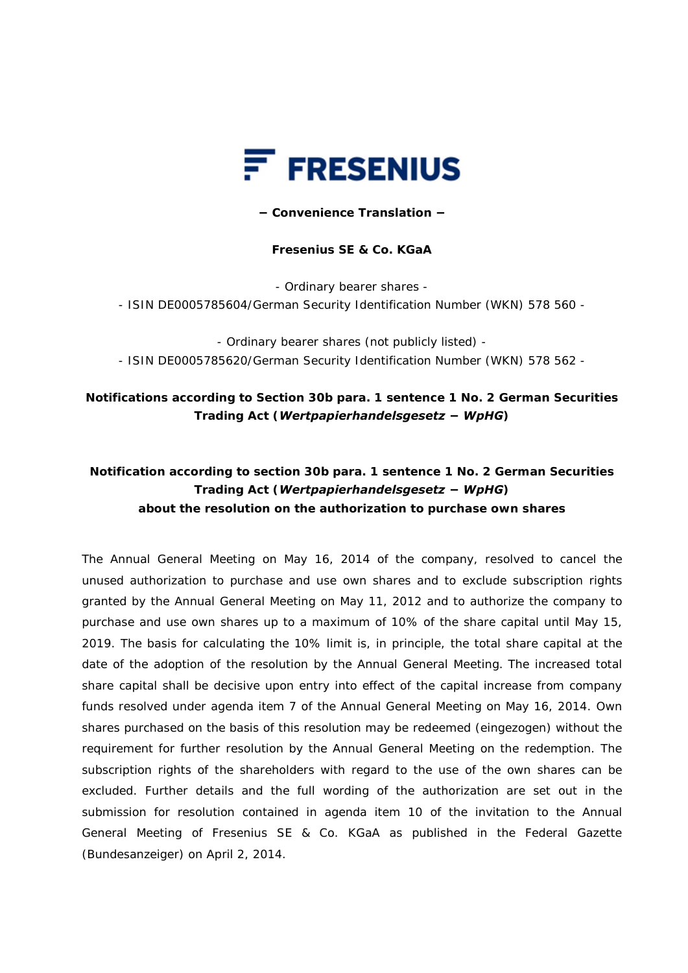

#### **− Convenience Translation −**

### **Fresenius SE & Co. KGaA**

- Ordinary bearer shares -

- ISIN DE0005785604/German Security Identification Number (WKN) 578 560 -

- Ordinary bearer shares (not publicly listed) - - ISIN DE0005785620/German Security Identification Number (WKN) 578 562 -

## **Notifications according to Section 30b para. 1 sentence 1 No. 2 German Securities Trading Act (***Wertpapierhandelsgesetz − WpHG***)**

# **Notification according to section 30b para. 1 sentence 1 No. 2 German Securities Trading Act (***Wertpapierhandelsgesetz − WpHG***) about the resolution on the authorization to purchase own shares**

The Annual General Meeting on May 16, 2014 of the company, resolved to cancel the unused authorization to purchase and use own shares and to exclude subscription rights granted by the Annual General Meeting on May 11, 2012 and to authorize the company to purchase and use own shares up to a maximum of 10% of the share capital until May 15, 2019. The basis for calculating the 10% limit is, in principle, the total share capital at the date of the adoption of the resolution by the Annual General Meeting. The increased total share capital shall be decisive upon entry into effect of the capital increase from company funds resolved under agenda item 7 of the Annual General Meeting on May 16, 2014. Own shares purchased on the basis of this resolution may be redeemed (*eingezogen*) without the requirement for further resolution by the Annual General Meeting on the redemption. The subscription rights of the shareholders with regard to the use of the own shares can be excluded. Further details and the full wording of the authorization are set out in the submission for resolution contained in agenda item 10 of the invitation to the Annual General Meeting of Fresenius SE & Co. KGaA as published in the Federal Gazette (*Bundesanzeiger*) on April 2, 2014.